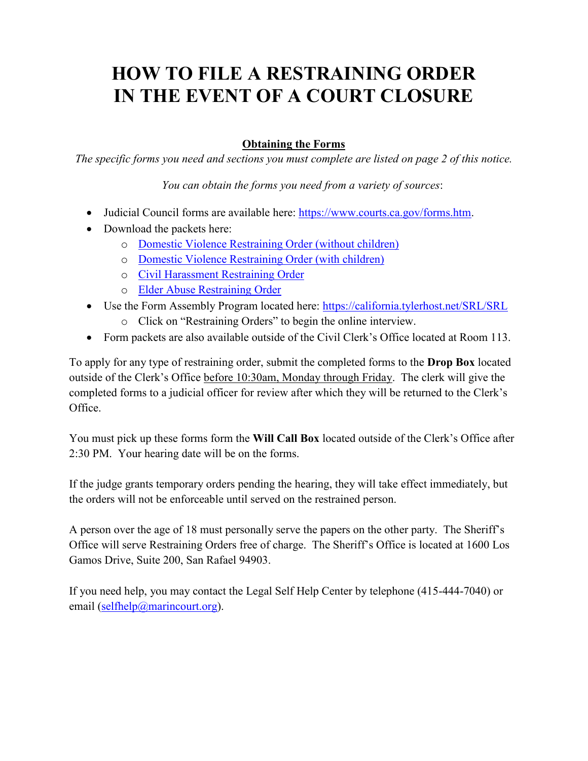# **HOW TO FILE A RESTRAINING ORDER IN THE EVENT OF A COURT CLOSURE**

## **Obtaining the Forms**

*The specific forms you need and sections you must complete are listed on page 2 of this notice.*

*You can obtain the forms you need from a variety of sources*:

- Judicial Council forms are available here: [https://www.courts.ca.gov/forms.htm.](https://www.courts.ca.gov/forms.htm)
- Download the packets here:
	- o [Domestic Violence Restraining Order \(without children\)](https://drive.google.com/open?id=1CSx8A8gxDuKyim-H-gqF3hpU5vgk2aIZ)
	- o [Domestic Violence Restraining Order \(with children\)](https://drive.google.com/open?id=1qJmgNCcR0afLj816xyQQb4TFjOQ_mYhu)
	- o Civil [Harassment Restraining Order](https://drive.google.com/open?id=11wwOxkq1g-JboZTnctzxJ6rQxTDlF_6X)
	- o [Elder Abuse Restraining Order](https://drive.google.com/open?id=1coKgEHfKXwKfl80gJx1XvLqZeLtIv81l)
- Use the Form Assembly Program located here:<https://california.tylerhost.net/SRL/SRL>
	- o Click on "Restraining Orders" to begin the online interview.
- Form packets are also available outside of the Civil Clerk's Office located at Room 113.

To apply for any type of restraining order, submit the completed forms to the **Drop Box** located outside of the Clerk's Office before 10:30am, Monday through Friday. The clerk will give the completed forms to a judicial officer for review after which they will be returned to the Clerk's Office.

You must pick up these forms form the **Will Call Box** located outside of the Clerk's Office after 2:30 PM. Your hearing date will be on the forms.

If the judge grants temporary orders pending the hearing, they will take effect immediately, but the orders will not be enforceable until served on the restrained person.

A person over the age of 18 must personally serve the papers on the other party. The Sheriff's Office will serve Restraining Orders free of charge. The Sheriff's Office is located at 1600 Los Gamos Drive, Suite 200, San Rafael 94903.

If you need help, you may contact the Legal Self Help Center by telephone (415-444-7040) or email [\(selfhelp@marincourt.org\)](mailto:selfhelp@marincourt.org).